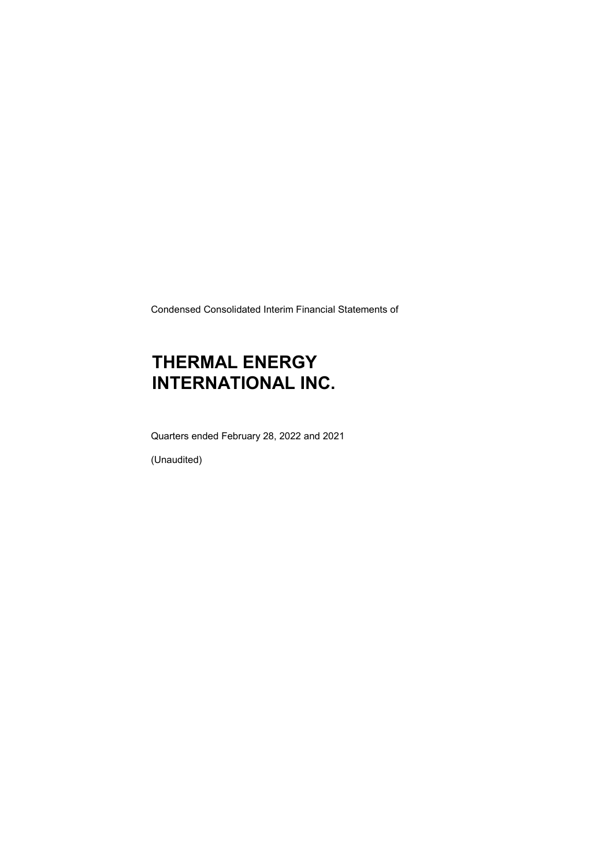Condensed Consolidated Interim Financial Statements of

# THERMAL ENERGY INTERNATIONAL INC.

Quarters ended February 28, 2022 and 2021

(Unaudited)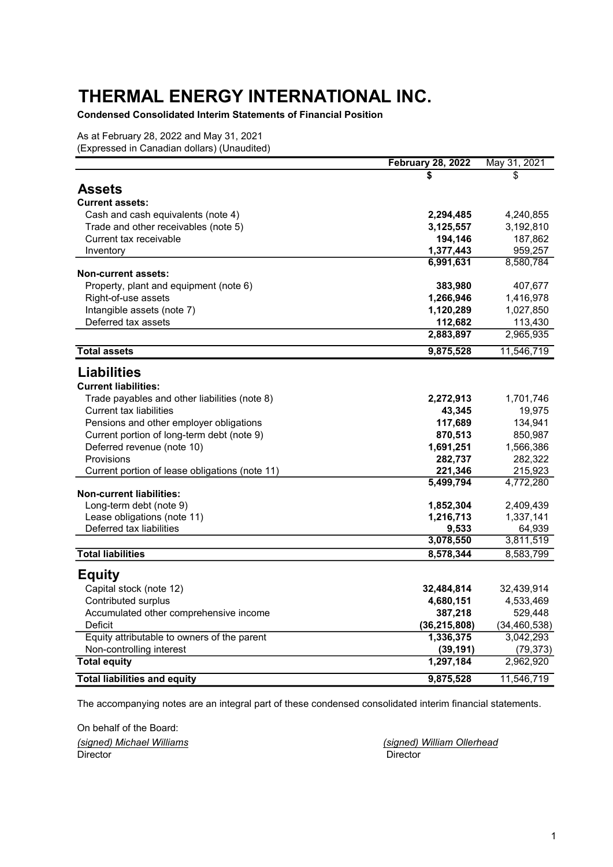Condensed Consolidated Interim Statements of Financial Position

As at February 28, 2022 and May 31, 2021 (Expressed in Canadian dollars) (Unaudited)

|                                                | <b>February 28, 2022</b> | May 31, 2021   |
|------------------------------------------------|--------------------------|----------------|
|                                                | \$                       | \$             |
| Assets                                         |                          |                |
| <b>Current assets:</b>                         |                          |                |
| Cash and cash equivalents (note 4)             | 2,294,485                | 4,240,855      |
| Trade and other receivables (note 5)           | 3,125,557                | 3,192,810      |
| Current tax receivable                         | 194,146                  | 187,862        |
| Inventory                                      | 1,377,443                | 959,257        |
|                                                | 6,991,631                | 8,580,784      |
| <b>Non-current assets:</b>                     |                          |                |
| Property, plant and equipment (note 6)         | 383,980                  | 407,677        |
| Right-of-use assets                            | 1,266,946                | 1,416,978      |
| Intangible assets (note 7)                     | 1,120,289                | 1,027,850      |
| Deferred tax assets                            | 112,682                  | 113,430        |
|                                                | 2,883,897                | 2,965,935      |
| <b>Total assets</b>                            | 9,875,528                | 11,546,719     |
| <b>Liabilities</b>                             |                          |                |
| <b>Current liabilities:</b>                    |                          |                |
| Trade payables and other liabilities (note 8)  | 2,272,913                | 1,701,746      |
| Current tax liabilities                        | 43,345                   | 19,975         |
| Pensions and other employer obligations        | 117,689                  | 134,941        |
| Current portion of long-term debt (note 9)     | 870,513                  | 850,987        |
| Deferred revenue (note 10)                     | 1,691,251                | 1,566,386      |
| Provisions                                     | 282,737                  | 282,322        |
| Current portion of lease obligations (note 11) | 221,346                  | 215,923        |
|                                                | 5,499,794                | 4,772,280      |
| <b>Non-current liabilities:</b>                |                          |                |
| Long-term debt (note 9)                        | 1,852,304                | 2,409,439      |
| Lease obligations (note 11)                    | 1,216,713                | 1,337,141      |
| Deferred tax liabilities                       | 9,533                    | 64,939         |
|                                                | 3,078,550                | 3,811,519      |
| <b>Total liabilities</b>                       | 8,578,344                | 8,583,799      |
| <b>Equity</b>                                  |                          |                |
| Capital stock (note 12)                        | 32,484,814               | 32,439,914     |
| Contributed surplus                            | 4,680,151                | 4,533,469      |
| Accumulated other comprehensive income         | 387,218                  | 529,448        |
| Deficit                                        | (36, 215, 808)           | (34, 460, 538) |
| Equity attributable to owners of the parent    | 1,336,375                | 3,042,293      |
| Non-controlling interest                       | (39, 191)                | (79, 373)      |
| <b>Total equity</b>                            | 1,297,184                | 2,962,920      |
| <b>Total liabilities and equity</b>            | 9,875,528                | 11,546,719     |

The accompanying notes are an integral part of these condensed consolidated interim financial statements.

On behalf of the Board: (signed) Michael Williams (signed) William Ollerhead Director Director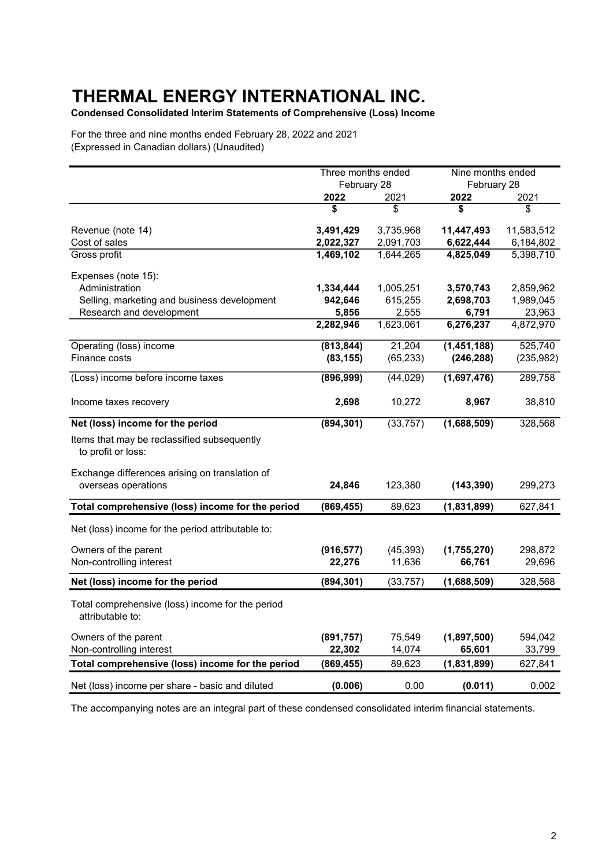Condensed Consolidated Interim Statements of Comprehensive (Loss) Income

For the three and nine months ended February 28, 2022 and 2021 (Expressed in Canadian dollars) (Unaudited)

|                                                                       | Three months ended |           | Nine months ended |            |  |
|-----------------------------------------------------------------------|--------------------|-----------|-------------------|------------|--|
|                                                                       | February 28        |           | February 28       |            |  |
|                                                                       | 2022               | 2021      | 2022              | 2021       |  |
|                                                                       | \$                 | \$        | \$                | \$         |  |
| Revenue (note 14)                                                     | 3,491,429          | 3,735,968 | 11,447,493        | 11,583,512 |  |
| Cost of sales                                                         | 2,022,327          | 2,091,703 | 6,622,444         | 6,184,802  |  |
| Gross profit                                                          | 1,469,102          | 1,644,265 | 4,825,049         | 5,398,710  |  |
| Expenses (note 15):                                                   |                    |           |                   |            |  |
| Administration                                                        | 1,334,444          | 1,005,251 | 3,570,743         | 2,859,962  |  |
| Selling, marketing and business development                           | 942,646            | 615,255   | 2,698,703         | 1,989,045  |  |
| Research and development                                              | 5,856              | 2,555     | 6,791             | 23,963     |  |
|                                                                       | 2,282,946          | 1,623,061 | 6,276,237         | 4,872,970  |  |
| Operating (loss) income                                               | (813, 844)         | 21,204    | (1,451,188)       | 525,740    |  |
| Finance costs                                                         | (83, 155)          | (65, 233) | (246, 288)        | (235, 982) |  |
| (Loss) income before income taxes                                     | (896, 999)         | (44, 029) | (1,697,476)       | 289,758    |  |
| Income taxes recovery                                                 | 2,698              | 10,272    | 8,967             | 38,810     |  |
| Net (loss) income for the period                                      | (894, 301)         | (33, 757) | (1,688,509)       | 328,568    |  |
| Items that may be reclassified subsequently<br>to profit or loss:     |                    |           |                   |            |  |
| Exchange differences arising on translation of<br>overseas operations | 24,846             | 123,380   | (143, 390)        | 299,273    |  |
| Total comprehensive (loss) income for the period                      | (869, 455)         | 89,623    | (1,831,899)       | 627,841    |  |
| Net (loss) income for the period attributable to:                     |                    |           |                   |            |  |
| Owners of the parent                                                  | (916, 577)         | (45, 393) | (1,755,270)       | 298,872    |  |
| Non-controlling interest                                              | 22,276             | 11,636    | 66,761            | 29,696     |  |
| Net (loss) income for the period                                      | (894, 301)         | (33, 757) | (1,688,509)       | 328,568    |  |
| Total comprehensive (loss) income for the period<br>attributable to:  |                    |           |                   |            |  |
| Owners of the parent                                                  | (891, 757)         | 75,549    | (1,897,500)       | 594,042    |  |
| Non-controlling interest                                              | 22,302             | 14,074    | 65,601            | 33,799     |  |
| Total comprehensive (loss) income for the period                      | (869, 455)         | 89,623    | (1,831,899)       | 627,841    |  |
| Net (loss) income per share - basic and diluted                       | (0.006)            | 0.00      | (0.011)           | 0.002      |  |

The accompanying notes are an integral part of these condensed consolidated interim financial statements.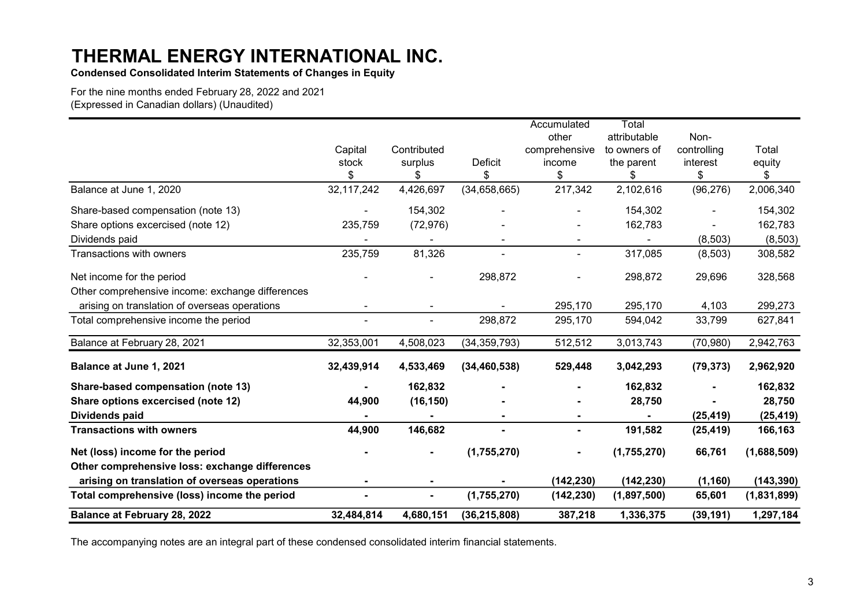Condensed Consolidated Interim Statements of Changes in Equity

For the nine months ended February 28, 2022 and 2021 (Expressed in Canadian dollars) (Unaudited)

|                                                  |            |                |                | Accumulated   | Total        |             |             |
|--------------------------------------------------|------------|----------------|----------------|---------------|--------------|-------------|-------------|
|                                                  |            |                |                | other         | attributable | Non-        |             |
|                                                  | Capital    | Contributed    |                | comprehensive | to owners of | controlling | Total       |
|                                                  | stock      | surplus        | Deficit        | income        | the parent   | interest    | equity      |
|                                                  | \$         | \$             | \$             | \$            | \$           | \$          | \$          |
| Balance at June 1, 2020                          | 32,117,242 | 4,426,697      | (34, 658, 665) | 217,342       | 2,102,616    | (96, 276)   | 2,006,340   |
| Share-based compensation (note 13)               |            | 154,302        |                |               | 154,302      |             | 154,302     |
| Share options excercised (note 12)               | 235,759    | (72, 976)      |                |               | 162,783      |             | 162,783     |
| Dividends paid                                   |            |                |                |               |              | (8,503)     | (8, 503)    |
| Transactions with owners                         | 235,759    | 81,326         |                |               | 317,085      | (8,503)     | 308,582     |
| Net income for the period                        |            |                | 298,872        |               | 298,872      | 29,696      | 328,568     |
| Other comprehensive income: exchange differences |            |                |                |               |              |             |             |
| arising on translation of overseas operations    |            |                |                | 295,170       | 295,170      | 4,103       | 299,273     |
| Total comprehensive income the period            |            | ۰              | 298,872        | 295,170       | 594,042      | 33,799      | 627,841     |
| Balance at February 28, 2021                     | 32,353,001 | 4,508,023      | (34, 359, 793) | 512,512       | 3,013,743    | (70, 980)   | 2,942,763   |
| Balance at June 1, 2021                          | 32,439,914 | 4,533,469      | (34, 460, 538) | 529,448       | 3,042,293    | (79, 373)   | 2,962,920   |
| Share-based compensation (note 13)               |            | 162,832        |                |               | 162,832      |             | 162,832     |
| Share options excercised (note 12)               | 44,900     | (16, 150)      |                |               | 28,750       |             | 28,750      |
| Dividends paid                                   |            |                |                |               |              | (25, 419)   | (25, 419)   |
| <b>Transactions with owners</b>                  | 44,900     | 146,682        | ۰              | ٠             | 191,582      | (25, 419)   | 166,163     |
| Net (loss) income for the period                 |            |                | (1,755,270)    |               | (1,755,270)  | 66,761      | (1,688,509) |
| Other comprehensive loss: exchange differences   |            |                |                |               |              |             |             |
| arising on translation of overseas operations    |            |                |                | (142, 230)    | (142, 230)   | (1, 160)    | (143, 390)  |
| Total comprehensive (loss) income the period     |            | $\blacksquare$ | (1,755,270)    | (142, 230)    | (1,897,500)  | 65,601      | (1,831,899) |
| <b>Balance at February 28, 2022</b>              | 32,484,814 | 4,680,151      | (36, 215, 808) | 387,218       | 1,336,375    | (39, 191)   | 1,297,184   |

The accompanying notes are an integral part of these condensed consolidated interim financial statements.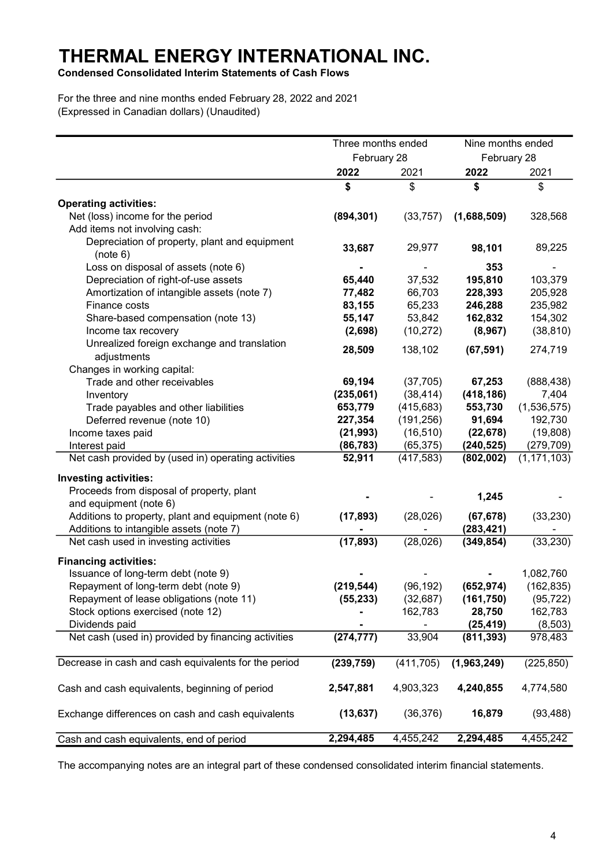Condensed Consolidated Interim Statements of Cash Flows

For the three and nine months ended February 28, 2022 and 2021 (Expressed in Canadian dollars) (Unaudited)

|                                                      | Three months ended |            | Nine months ended |               |  |
|------------------------------------------------------|--------------------|------------|-------------------|---------------|--|
|                                                      | February 28        |            | February 28       |               |  |
|                                                      | 2022               | 2021       | 2022              | 2021          |  |
|                                                      | \$                 | \$         | \$                | \$            |  |
| <b>Operating activities:</b>                         |                    |            |                   |               |  |
| Net (loss) income for the period                     | (894, 301)         | (33, 757)  | (1,688,509)       | 328,568       |  |
| Add items not involving cash:                        |                    |            |                   |               |  |
| Depreciation of property, plant and equipment        |                    |            |                   |               |  |
| (note 6)                                             | 33,687             | 29,977     | 98,101            | 89,225        |  |
| Loss on disposal of assets (note 6)                  |                    |            | 353               |               |  |
| Depreciation of right-of-use assets                  | 65,440             | 37,532     | 195,810           | 103,379       |  |
| Amortization of intangible assets (note 7)           | 77,482             | 66,703     | 228,393           | 205,928       |  |
| Finance costs                                        | 83,155             | 65,233     | 246,288           | 235,982       |  |
| Share-based compensation (note 13)                   | 55,147             | 53,842     | 162,832           | 154,302       |  |
| Income tax recovery                                  | (2,698)            | (10, 272)  | (8,967)           | (38, 810)     |  |
| Unrealized foreign exchange and translation          |                    |            |                   |               |  |
| adjustments                                          | 28,509             | 138,102    | (67, 591)         | 274,719       |  |
| Changes in working capital:                          |                    |            |                   |               |  |
| Trade and other receivables                          | 69,194             | (37, 705)  | 67,253            | (888, 438)    |  |
| Inventory                                            | (235,061)          | (38, 414)  | (418, 186)        | 7,404         |  |
| Trade payables and other liabilities                 | 653,779            | (415, 683) | 553,730           | (1,536,575)   |  |
| Deferred revenue (note 10)                           | 227,354            | (191, 256) | 91,694            | 192,730       |  |
| Income taxes paid                                    | (21, 993)          | (16, 510)  | (22, 678)         | (19,808)      |  |
| Interest paid                                        | (86,783)           | (65,375)   | (240, 525)        | (279, 709)    |  |
| Net cash provided by (used in) operating activities  | 52,911             | (417, 583) | (802,002)         | (1, 171, 103) |  |
| <b>Investing activities:</b>                         |                    |            |                   |               |  |
| Proceeds from disposal of property, plant            |                    |            |                   |               |  |
| and equipment (note 6)                               |                    |            | 1,245             |               |  |
| Additions to property, plant and equipment (note 6)  | (17, 893)          | (28,026)   | (67, 678)         | (33, 230)     |  |
| Additions to intangible assets (note 7)              |                    |            | (283, 421)        |               |  |
| Net cash used in investing activities                | (17, 893)          | (28,026)   | (349, 854)        | (33, 230)     |  |
| <b>Financing activities:</b>                         |                    |            |                   |               |  |
| Issuance of long-term debt (note 9)                  |                    |            |                   | 1,082,760     |  |
| Repayment of long-term debt (note 9)                 | (219, 544)         | (96, 192)  | (652, 974)        | (162, 835)    |  |
| Repayment of lease obligations (note 11)             | (55, 233)          | (32, 687)  | (161, 750)        | (95, 722)     |  |
| Stock options exercised (note 12)                    |                    | 162,783    | 28,750            | 162,783       |  |
| Dividends paid                                       |                    |            | (25, 419)         | (8, 503)      |  |
| Net cash (used in) provided by financing activities  | (274, 777)         | 33,904     | (811, 393)        | 978,483       |  |
|                                                      |                    |            |                   |               |  |
| Decrease in cash and cash equivalents for the period | (239, 759)         | (411, 705) | (1,963,249)       | (225, 850)    |  |
| Cash and cash equivalents, beginning of period       | 2,547,881          | 4,903,323  | 4,240,855         | 4,774,580     |  |
| Exchange differences on cash and cash equivalents    | (13, 637)          | (36, 376)  | 16,879            | (93, 488)     |  |
| Cash and cash equivalents, end of period             | 2,294,485          | 4,455,242  | 2,294,485         | 4,455,242     |  |

The accompanying notes are an integral part of these condensed consolidated interim financial statements.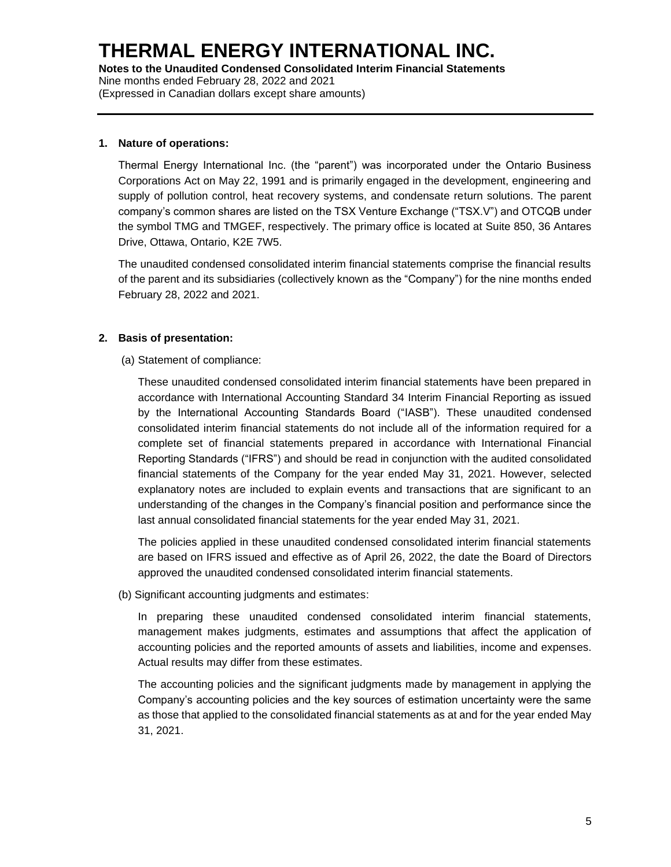#### **1. Nature of operations:**

Thermal Energy International Inc. (the "parent") was incorporated under the Ontario Business Corporations Act on May 22, 1991 and is primarily engaged in the development, engineering and supply of pollution control, heat recovery systems, and condensate return solutions. The parent company's common shares are listed on the TSX Venture Exchange ("TSX.V") and OTCQB under the symbol TMG and TMGEF, respectively. The primary office is located at Suite 850, 36 Antares Drive, Ottawa, Ontario, K2E 7W5.

The unaudited condensed consolidated interim financial statements comprise the financial results of the parent and its subsidiaries (collectively known as the "Company") for the nine months ended February 28, 2022 and 2021.

## **2. Basis of presentation:**

(a) Statement of compliance:

These unaudited condensed consolidated interim financial statements have been prepared in accordance with International Accounting Standard 34 Interim Financial Reporting as issued by the International Accounting Standards Board ("IASB"). These unaudited condensed consolidated interim financial statements do not include all of the information required for a complete set of financial statements prepared in accordance with International Financial Reporting Standards ("IFRS") and should be read in conjunction with the audited consolidated financial statements of the Company for the year ended May 31, 2021. However, selected explanatory notes are included to explain events and transactions that are significant to an understanding of the changes in the Company's financial position and performance since the last annual consolidated financial statements for the year ended May 31, 2021.

The policies applied in these unaudited condensed consolidated interim financial statements are based on IFRS issued and effective as of April 26, 2022, the date the Board of Directors approved the unaudited condensed consolidated interim financial statements.

(b) Significant accounting judgments and estimates:

In preparing these unaudited condensed consolidated interim financial statements, management makes judgments, estimates and assumptions that affect the application of accounting policies and the reported amounts of assets and liabilities, income and expenses. Actual results may differ from these estimates.

The accounting policies and the significant judgments made by management in applying the Company's accounting policies and the key sources of estimation uncertainty were the same as those that applied to the consolidated financial statements as at and for the year ended May 31, 2021.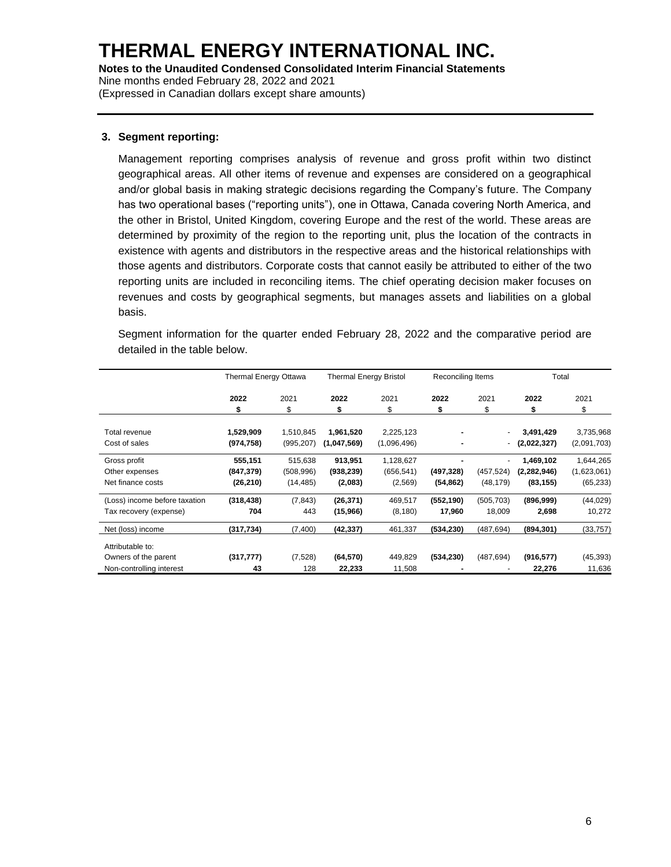**Notes to the Unaudited Condensed Consolidated Interim Financial Statements** Nine months ended February 28, 2022 and 2021

(Expressed in Canadian dollars except share amounts)

#### **3. Segment reporting:**

Management reporting comprises analysis of revenue and gross profit within two distinct geographical areas. All other items of revenue and expenses are considered on a geographical and/or global basis in making strategic decisions regarding the Company's future. The Company has two operational bases ("reporting units"), one in Ottawa, Canada covering North America, and the other in Bristol, United Kingdom, covering Europe and the rest of the world. These areas are determined by proximity of the region to the reporting unit, plus the location of the contracts in existence with agents and distributors in the respective areas and the historical relationships with those agents and distributors. Corporate costs that cannot easily be attributed to either of the two reporting units are included in reconciling items. The chief operating decision maker focuses on revenues and costs by geographical segments, but manages assets and liabilities on a global basis.

Segment information for the quarter ended February 28, 2022 and the comparative period are detailed in the table below.

|                                                                      | <b>Thermal Energy Ottawa</b>       |                                    | <b>Thermal Energy Bristol</b>    |                                    | Reconciling Items       |                          | Total                                   |                                       |
|----------------------------------------------------------------------|------------------------------------|------------------------------------|----------------------------------|------------------------------------|-------------------------|--------------------------|-----------------------------------------|---------------------------------------|
|                                                                      | 2022<br>\$                         | 2021<br>\$                         | 2022<br>\$                       | 2021<br>\$                         | 2022<br>\$              | 2021<br>\$               | 2022<br>\$                              | 2021<br>\$                            |
| Total revenue<br>Cost of sales                                       | 1,529,909<br>(974, 758)            | 1,510,845<br>(995, 207)            | 1,961,520<br>(1,047,569)         | 2,225,123<br>(1,096,496)           |                         | $\overline{\phantom{a}}$ | 3,491,429<br>(2,022,327)                | 3,735,968<br>(2,091,703)              |
| Gross profit<br>Other expenses<br>Net finance costs                  | 555,151<br>(847, 379)<br>(26, 210) | 515,638<br>(508, 996)<br>(14, 485) | 913,951<br>(938, 239)<br>(2,083) | 1,128,627<br>(656, 541)<br>(2,569) | (497, 328)<br>(54, 862) | (457, 524)<br>(48, 179)  | 1,469,102<br>(2, 282, 946)<br>(83, 155) | 1,644,265<br>(1,623,061)<br>(65, 233) |
| (Loss) income before taxation<br>Tax recovery (expense)              | (318, 438)<br>704                  | (7, 843)<br>443                    | (26, 371)<br>(15,966)            | 469,517<br>(8, 180)                | (552, 190)<br>17,960    | (505, 703)<br>18,009     | (896,999)<br>2,698                      | (44, 029)<br>10,272                   |
| Net (loss) income                                                    | (317, 734)                         | (7,400)                            | (42,337)                         | 461,337                            | (534, 230)              | (487, 694)               | (894, 301)                              | (33, 757)                             |
| Attributable to:<br>Owners of the parent<br>Non-controlling interest | (317, 777)<br>43                   | (7,528)<br>128                     | (64, 570)<br>22,233              | 449,829<br>11,508                  | (534, 230)              | (487, 694)               | (916, 577)<br>22,276                    | (45, 393)<br>11,636                   |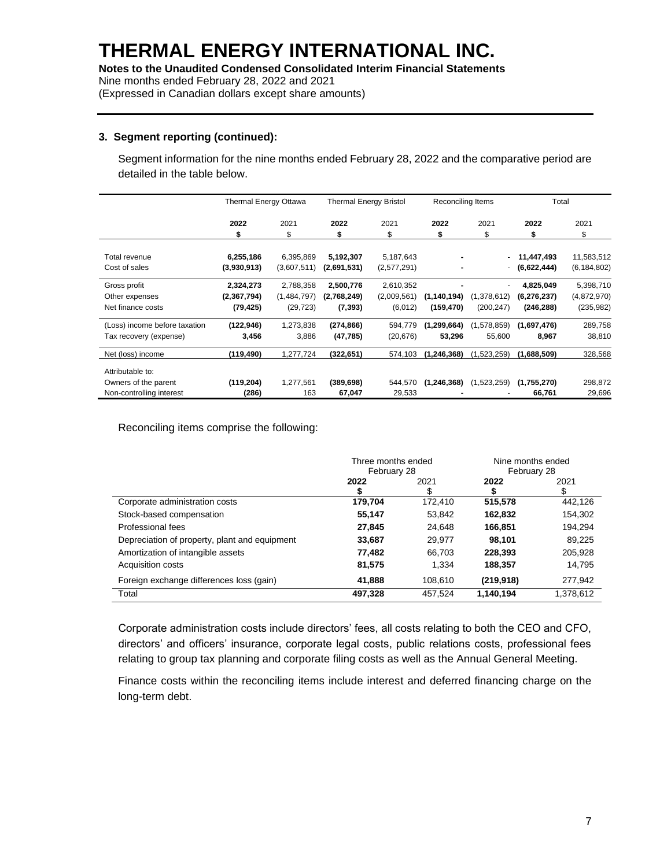(Expressed in Canadian dollars except share amounts)

## **3. Segment reporting (continued):**

Segment information for the nine months ended February 28, 2022 and the comparative period are detailed in the table below.

|                               | Thermal Energy Ottawa |             | <b>Thermal Energy Bristol</b> |             | Reconciling Items |             | Total         |               |
|-------------------------------|-----------------------|-------------|-------------------------------|-------------|-------------------|-------------|---------------|---------------|
|                               | 2022                  | 2021        | 2022                          | 2021        | 2022              | 2021        | 2022          | 2021          |
|                               | \$                    | S           | \$                            | \$          | \$                | \$          | \$            | \$            |
| Total revenue                 | 6,255,186             | 6,395,869   | 5,192,307                     | 5,187,643   |                   |             | 11,447,493    | 11,583,512    |
| Cost of sales                 | (3,930,913)           | (3,607,511) | (2,691,531)                   | (2,577,291) |                   | - 1         | (6,622,444)   | (6, 184, 802) |
| Gross profit                  | 2,324,273             | 2,788,358   | 2,500,776                     | 2,610,352   |                   |             | 4,825,049     | 5,398,710     |
| Other expenses                | (2,367,794)           | (1,484,797) | (2,768,249)                   | (2,009,561) | (1, 140, 194)     | (1,378,612) | (6, 276, 237) | (4,872,970)   |
| Net finance costs             | (79, 425)             | (29, 723)   | (7, 393)                      | (6,012)     | (159, 470)        | (200, 247)  | (246, 288)    | (235, 982)    |
| (Loss) income before taxation | (122, 946)            | 1,273,838   | (274,866)                     | 594,779     | (1, 299, 664)     | (1,578,859) | (1,697,476)   | 289,758       |
| Tax recovery (expense)        | 3,456                 | 3,886       | (47, 785)                     | (20, 676)   | 53,296            | 55,600      | 8,967         | 38,810        |
| Net (loss) income             | (119,490)             | 1,277,724   | (322, 651)                    | 574,103     | (1, 246, 368)     | (1,523,259) | (1,688,509)   | 328,568       |
| Attributable to:              |                       |             |                               |             |                   |             |               |               |
| Owners of the parent          | (119, 204)            | 1,277,561   | (389, 698)                    | 544,570     | (1, 246, 368)     | (1,523,259) | (1,755,270)   | 298,872       |
| Non-controlling interest      | (286)                 | 163         | 67,047                        | 29,533      |                   |             | 66,761        | 29,696        |

Reconciling items comprise the following:

|                                               | Three months ended<br>February 28 |            | Nine months ended<br>February 28 |           |
|-----------------------------------------------|-----------------------------------|------------|----------------------------------|-----------|
|                                               | 2022                              | 2021<br>\$ | 2022                             | 2021      |
| Corporate administration costs                | 179,704                           | 172.410    | 515,578                          | 442,126   |
| Stock-based compensation                      | 55,147                            | 53,842     | 162,832                          | 154,302   |
| Professional fees                             | 27,845                            | 24.648     | 166,851                          | 194,294   |
| Depreciation of property, plant and equipment | 33,687                            | 29,977     | 98,101                           | 89,225    |
| Amortization of intangible assets             | 77,482                            | 66,703     | 228,393                          | 205,928   |
| <b>Acquisition costs</b>                      | 81,575                            | 1.334      | 188,357                          | 14,795    |
| Foreign exchange differences loss (gain)      | 41.888                            | 108.610    | (219, 918)                       | 277,942   |
| Total                                         | 497,328                           | 457.524    | 1,140,194                        | 1,378,612 |

Corporate administration costs include directors' fees, all costs relating to both the CEO and CFO, directors' and officers' insurance, corporate legal costs, public relations costs, professional fees relating to group tax planning and corporate filing costs as well as the Annual General Meeting.

Finance costs within the reconciling items include interest and deferred financing charge on the long-term debt.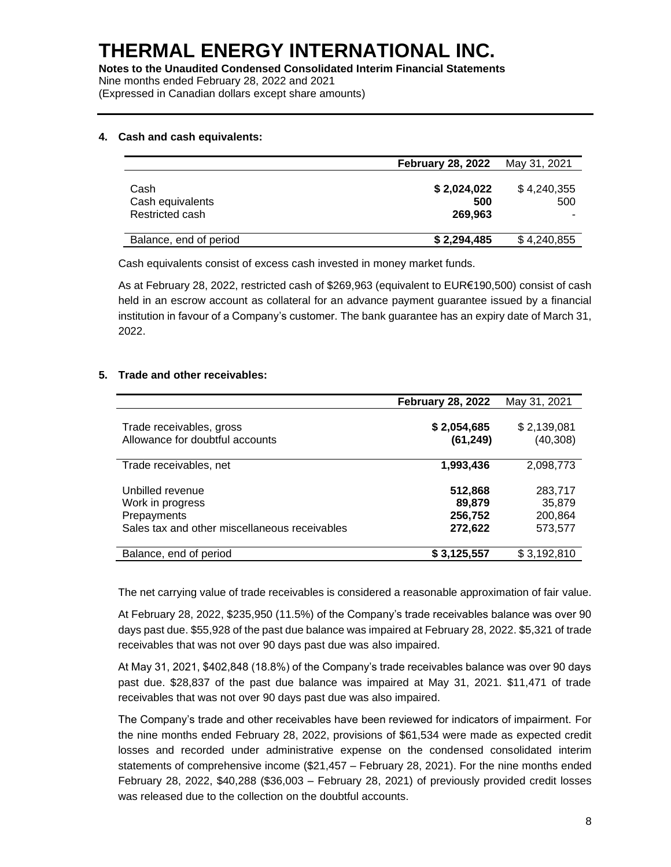(Expressed in Canadian dollars except share amounts)

#### **4. Cash and cash equivalents:**

|                                             | <b>February 28, 2022</b>      | May 31, 2021            |
|---------------------------------------------|-------------------------------|-------------------------|
| Cash<br>Cash equivalents<br>Restricted cash | \$2,024,022<br>500<br>269.963 | \$4,240,355<br>500<br>- |
| Balance, end of period                      | \$2,294,485                   | \$4,240,855             |

Cash equivalents consist of excess cash invested in money market funds.

As at February 28, 2022, restricted cash of \$269,963 (equivalent to EUR€190,500) consist of cash held in an escrow account as collateral for an advance payment guarantee issued by a financial institution in favour of a Company's customer. The bank guarantee has an expiry date of March 31, 2022.

## **5. Trade and other receivables:**

|                                                                                                      | <b>February 28, 2022</b>                | May 31, 2021                            |
|------------------------------------------------------------------------------------------------------|-----------------------------------------|-----------------------------------------|
| Trade receivables, gross<br>Allowance for doubtful accounts                                          | \$2,054,685<br>(61, 249)                | \$2,139,081<br>(40, 308)                |
| Trade receivables, net                                                                               | 1,993,436                               | 2,098,773                               |
| Unbilled revenue<br>Work in progress<br>Prepayments<br>Sales tax and other miscellaneous receivables | 512,868<br>89,879<br>256,752<br>272,622 | 283,717<br>35,879<br>200,864<br>573,577 |
| Balance, end of period                                                                               | \$3,125,557                             | \$3,192,810                             |

The net carrying value of trade receivables is considered a reasonable approximation of fair value.

At February 28, 2022, \$235,950 (11.5%) of the Company's trade receivables balance was over 90 days past due. \$55,928 of the past due balance was impaired at February 28, 2022. \$5,321 of trade receivables that was not over 90 days past due was also impaired.

At May 31, 2021, \$402,848 (18.8%) of the Company's trade receivables balance was over 90 days past due. \$28,837 of the past due balance was impaired at May 31, 2021. \$11,471 of trade receivables that was not over 90 days past due was also impaired.

The Company's trade and other receivables have been reviewed for indicators of impairment. For the nine months ended February 28, 2022, provisions of \$61,534 were made as expected credit losses and recorded under administrative expense on the condensed consolidated interim statements of comprehensive income (\$21,457 – February 28, 2021). For the nine months ended February 28, 2022, \$40,288 (\$36,003 – February 28, 2021) of previously provided credit losses was released due to the collection on the doubtful accounts.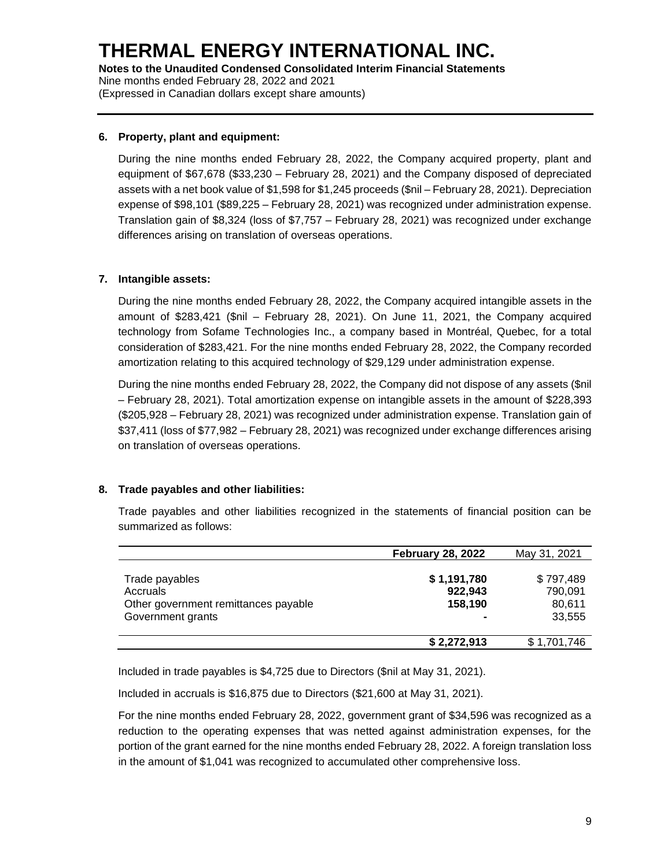#### **6. Property, plant and equipment:**

During the nine months ended February 28, 2022, the Company acquired property, plant and equipment of \$67,678 (\$33,230 – February 28, 2021) and the Company disposed of depreciated assets with a net book value of \$1,598 for \$1,245 proceeds (\$nil – February 28, 2021). Depreciation expense of \$98,101 (\$89,225 – February 28, 2021) was recognized under administration expense. Translation gain of \$8,324 (loss of \$7,757 – February 28, 2021) was recognized under exchange differences arising on translation of overseas operations.

#### **7. Intangible assets:**

During the nine months ended February 28, 2022, the Company acquired intangible assets in the amount of \$283,421 (\$nil – February 28, 2021). On June 11, 2021, the Company acquired technology from Sofame Technologies Inc., a company based in Montréal, Quebec, for a total consideration of \$283,421. For the nine months ended February 28, 2022, the Company recorded amortization relating to this acquired technology of \$29,129 under administration expense.

During the nine months ended February 28, 2022, the Company did not dispose of any assets (\$nil – February 28, 2021). Total amortization expense on intangible assets in the amount of \$228,393 (\$205,928 – February 28, 2021) was recognized under administration expense. Translation gain of \$37,411 (loss of \$77,982 – February 28, 2021) was recognized under exchange differences arising on translation of overseas operations.

## **8. Trade payables and other liabilities:**

Trade payables and other liabilities recognized in the statements of financial position can be summarized as follows:

|                                                                                         | <b>February 28, 2022</b>          | May 31, 2021                             |
|-----------------------------------------------------------------------------------------|-----------------------------------|------------------------------------------|
| Trade payables<br>Accruals<br>Other government remittances payable<br>Government grants | \$1,191,780<br>922,943<br>158,190 | \$797,489<br>790.091<br>80,611<br>33,555 |
|                                                                                         | \$2,272,913                       | \$1,701,746                              |

Included in trade payables is \$4,725 due to Directors (\$nil at May 31, 2021).

Included in accruals is \$16,875 due to Directors (\$21,600 at May 31, 2021).

For the nine months ended February 28, 2022, government grant of \$34,596 was recognized as a reduction to the operating expenses that was netted against administration expenses, for the portion of the grant earned for the nine months ended February 28, 2022. A foreign translation loss in the amount of \$1,041 was recognized to accumulated other comprehensive loss.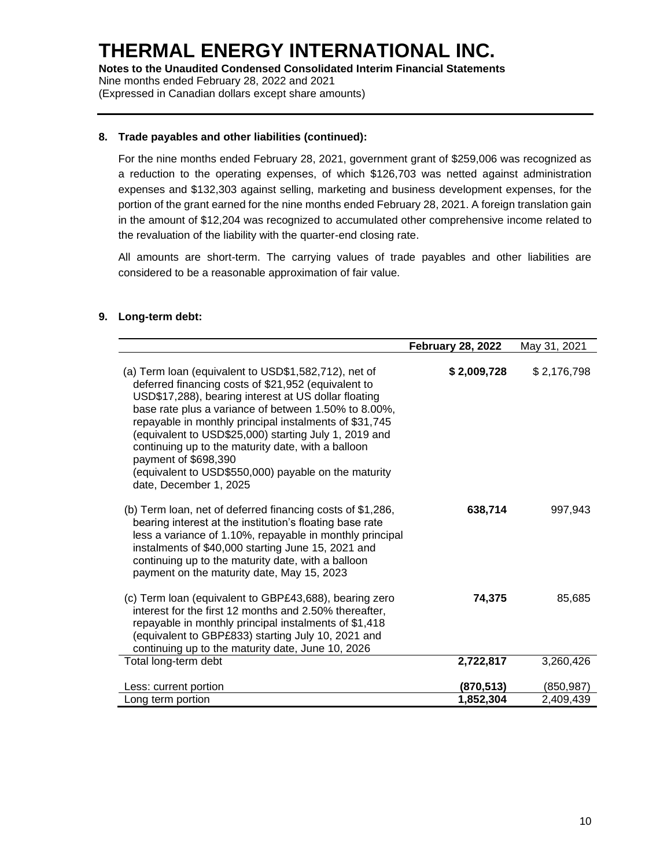#### **8. Trade payables and other liabilities (continued):**

For the nine months ended February 28, 2021, government grant of \$259,006 was recognized as a reduction to the operating expenses, of which \$126,703 was netted against administration expenses and \$132,303 against selling, marketing and business development expenses, for the portion of the grant earned for the nine months ended February 28, 2021. A foreign translation gain in the amount of \$12,204 was recognized to accumulated other comprehensive income related to the revaluation of the liability with the quarter-end closing rate.

All amounts are short-term. The carrying values of trade payables and other liabilities are considered to be a reasonable approximation of fair value.

#### **9. Long-term debt:**

|                                                                                                                                                                                                                                                                                                                                                                                                                                                                                                                | <b>February 28, 2022</b> | May 31, 2021            |
|----------------------------------------------------------------------------------------------------------------------------------------------------------------------------------------------------------------------------------------------------------------------------------------------------------------------------------------------------------------------------------------------------------------------------------------------------------------------------------------------------------------|--------------------------|-------------------------|
| (a) Term loan (equivalent to USD\$1,582,712), net of<br>deferred financing costs of \$21,952 (equivalent to<br>USD\$17,288), bearing interest at US dollar floating<br>base rate plus a variance of between 1.50% to 8.00%,<br>repayable in monthly principal instalments of \$31,745<br>(equivalent to USD\$25,000) starting July 1, 2019 and<br>continuing up to the maturity date, with a balloon<br>payment of \$698,390<br>(equivalent to USD\$550,000) payable on the maturity<br>date, December 1, 2025 | \$2,009,728              | \$2,176,798             |
| (b) Term loan, net of deferred financing costs of \$1,286,<br>bearing interest at the institution's floating base rate<br>less a variance of 1.10%, repayable in monthly principal<br>instalments of \$40,000 starting June 15, 2021 and<br>continuing up to the maturity date, with a balloon<br>payment on the maturity date, May 15, 2023                                                                                                                                                                   | 638,714                  | 997,943                 |
| (c) Term loan (equivalent to GBP£43,688), bearing zero<br>interest for the first 12 months and 2.50% thereafter,<br>repayable in monthly principal instalments of \$1,418<br>(equivalent to GBP£833) starting July 10, 2021 and<br>continuing up to the maturity date, June 10, 2026                                                                                                                                                                                                                           | 74,375                   | 85,685                  |
| Total long-term debt                                                                                                                                                                                                                                                                                                                                                                                                                                                                                           | 2,722,817                | 3,260,426               |
| Less: current portion<br>Long term portion                                                                                                                                                                                                                                                                                                                                                                                                                                                                     | (870,513)<br>1,852,304   | (850, 987)<br>2,409,439 |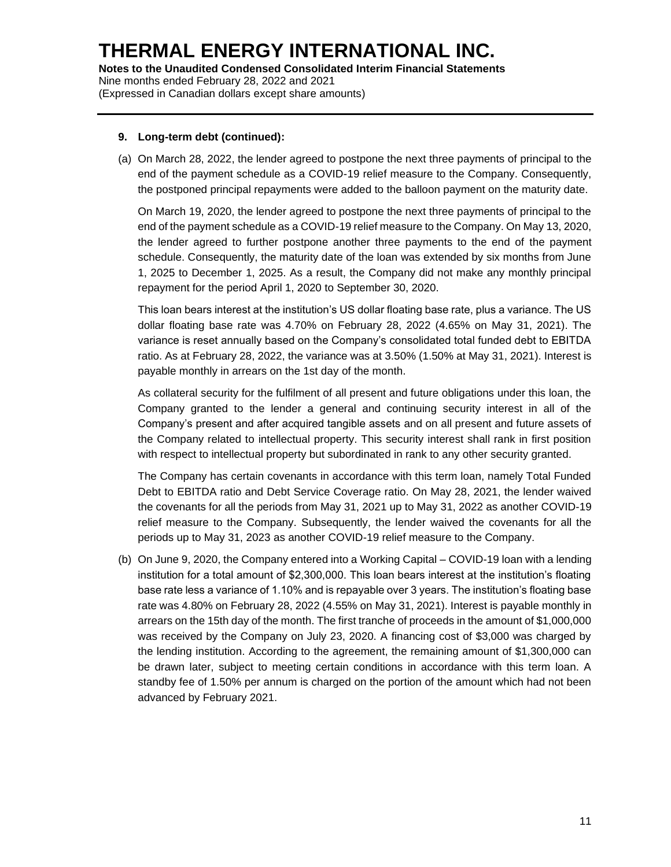(Expressed in Canadian dollars except share amounts)

#### **9. Long-term debt (continued):**

(a) On March 28, 2022, the lender agreed to postpone the next three payments of principal to the end of the payment schedule as a COVID-19 relief measure to the Company. Consequently, the postponed principal repayments were added to the balloon payment on the maturity date.

On March 19, 2020, the lender agreed to postpone the next three payments of principal to the end of the payment schedule as a COVID-19 relief measure to the Company. On May 13, 2020, the lender agreed to further postpone another three payments to the end of the payment schedule. Consequently, the maturity date of the loan was extended by six months from June 1, 2025 to December 1, 2025. As a result, the Company did not make any monthly principal repayment for the period April 1, 2020 to September 30, 2020.

This loan bears interest at the institution's US dollar floating base rate, plus a variance. The US dollar floating base rate was 4.70% on February 28, 2022 (4.65% on May 31, 2021). The variance is reset annually based on the Company's consolidated total funded debt to EBITDA ratio. As at February 28, 2022, the variance was at 3.50% (1.50% at May 31, 2021). Interest is payable monthly in arrears on the 1st day of the month.

As collateral security for the fulfilment of all present and future obligations under this loan, the Company granted to the lender a general and continuing security interest in all of the Company's present and after acquired tangible assets and on all present and future assets of the Company related to intellectual property. This security interest shall rank in first position with respect to intellectual property but subordinated in rank to any other security granted.

The Company has certain covenants in accordance with this term loan, namely Total Funded Debt to EBITDA ratio and Debt Service Coverage ratio. On May 28, 2021, the lender waived the covenants for all the periods from May 31, 2021 up to May 31, 2022 as another COVID-19 relief measure to the Company. Subsequently, the lender waived the covenants for all the periods up to May 31, 2023 as another COVID-19 relief measure to the Company.

(b) On June 9, 2020, the Company entered into a Working Capital – COVID-19 loan with a lending institution for a total amount of \$2,300,000. This loan bears interest at the institution's floating base rate less a variance of 1.10% and is repayable over 3 years. The institution's floating base rate was 4.80% on February 28, 2022 (4.55% on May 31, 2021). Interest is payable monthly in arrears on the 15th day of the month. The first tranche of proceeds in the amount of \$1,000,000 was received by the Company on July 23, 2020. A financing cost of \$3,000 was charged by the lending institution. According to the agreement, the remaining amount of \$1,300,000 can be drawn later, subject to meeting certain conditions in accordance with this term loan. A standby fee of 1.50% per annum is charged on the portion of the amount which had not been advanced by February 2021.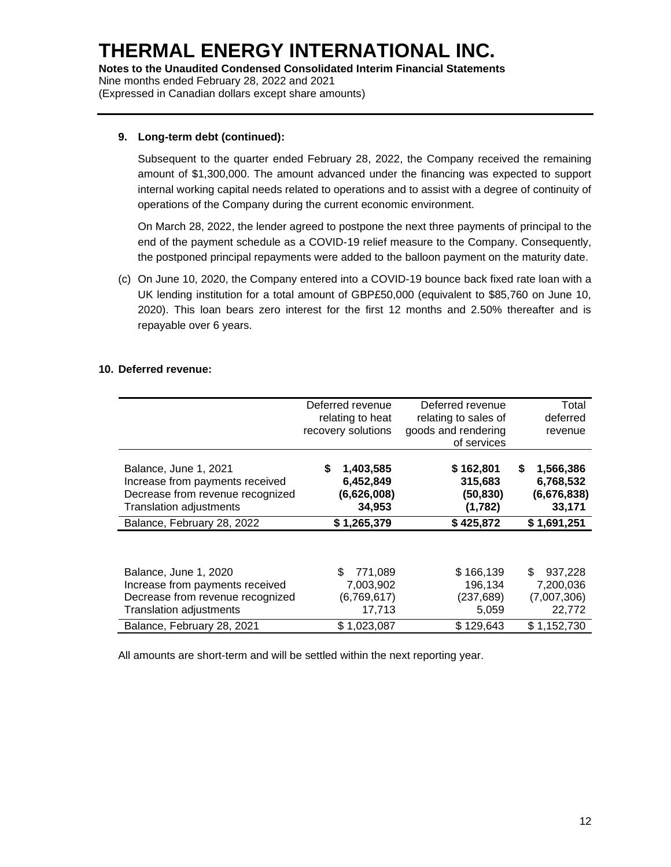#### **9. Long-term debt (continued):**

Subsequent to the quarter ended February 28, 2022, the Company received the remaining amount of \$1,300,000. The amount advanced under the financing was expected to support internal working capital needs related to operations and to assist with a degree of continuity of operations of the Company during the current economic environment.

On March 28, 2022, the lender agreed to postpone the next three payments of principal to the end of the payment schedule as a COVID-19 relief measure to the Company. Consequently, the postponed principal repayments were added to the balloon payment on the maturity date.

(c) On June 10, 2020, the Company entered into a COVID-19 bounce back fixed rate loan with a UK lending institution for a total amount of GBP£50,000 (equivalent to \$85,760 on June 10, 2020). This loan bears zero interest for the first 12 months and 2.50% thereafter and is repayable over 6 years.

#### **10. Deferred revenue:**

|                                                      | of services                                  |                                                                     |
|------------------------------------------------------|----------------------------------------------|---------------------------------------------------------------------|
| 1,403,585<br>S<br>6,452,849<br>(6,626,008)<br>34,953 | \$162,801<br>315,683<br>(50, 830)<br>(1,782) | 1,566,386<br>S<br>6,768,532<br>(6,676,838)<br>33,171<br>\$1,691,251 |
|                                                      |                                              |                                                                     |
| \$.<br>771,089<br>7,003,902<br>(6,769,617)<br>17,713 | \$166,139<br>196,134<br>(237, 689)<br>5,059  | 937,228<br>\$.<br>7,200,036<br>(7,007,306)<br>22,772<br>\$1,152,730 |
|                                                      | \$1,265,379<br>\$1,023,087                   | \$425,872<br>\$129,643                                              |

All amounts are short-term and will be settled within the next reporting year.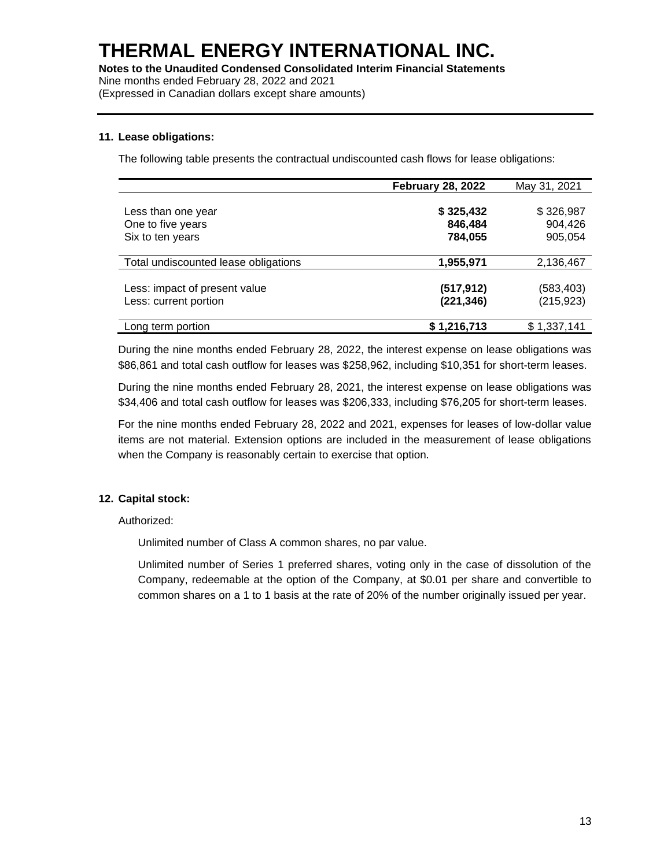**Notes to the Unaudited Condensed Consolidated Interim Financial Statements** Nine months ended February 28, 2022 and 2021 (Expressed in Canadian dollars except share amounts)

#### **11. Lease obligations:**

The following table presents the contractual undiscounted cash flows for lease obligations:

|                                                             | <b>February 28, 2022</b>        | May 31, 2021                    |
|-------------------------------------------------------------|---------------------------------|---------------------------------|
| Less than one year<br>One to five years<br>Six to ten years | \$325,432<br>846,484<br>784,055 | \$326,987<br>904,426<br>905,054 |
| Total undiscounted lease obligations                        | 1,955,971                       | 2,136,467                       |
| Less: impact of present value<br>Less: current portion      | (517, 912)<br>(221, 346)        | (583,403)<br>(215,923)          |
| Long term portion                                           | \$1,216,713                     | \$1,337,141                     |

During the nine months ended February 28, 2022, the interest expense on lease obligations was \$86,861 and total cash outflow for leases was \$258,962, including \$10,351 for short-term leases.

During the nine months ended February 28, 2021, the interest expense on lease obligations was \$34,406 and total cash outflow for leases was \$206,333, including \$76,205 for short-term leases.

For the nine months ended February 28, 2022 and 2021, expenses for leases of low-dollar value items are not material. Extension options are included in the measurement of lease obligations when the Company is reasonably certain to exercise that option.

## **12. Capital stock:**

Authorized:

Unlimited number of Class A common shares, no par value.

Unlimited number of Series 1 preferred shares, voting only in the case of dissolution of the Company, redeemable at the option of the Company, at \$0.01 per share and convertible to common shares on a 1 to 1 basis at the rate of 20% of the number originally issued per year.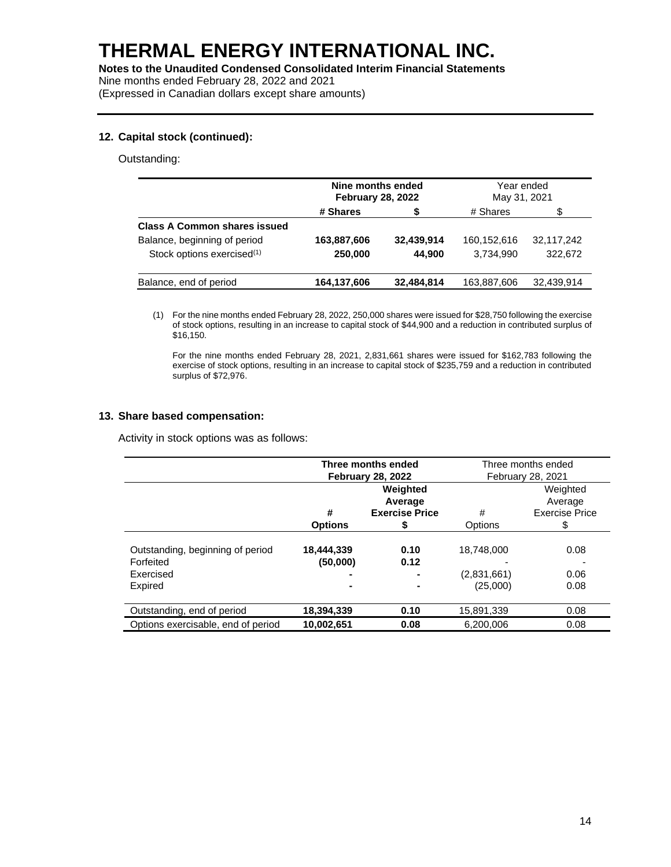(Expressed in Canadian dollars except share amounts)

#### **12. Capital stock (continued):**

#### Outstanding:

|                                        | Nine months ended<br><b>February 28, 2022</b> |            | Year ended<br>May 31, 2021 |            |
|----------------------------------------|-----------------------------------------------|------------|----------------------------|------------|
|                                        | # Shares                                      | S          | # Shares                   | S          |
| <b>Class A Common shares issued</b>    |                                               |            |                            |            |
| Balance, beginning of period           | 163,887,606                                   | 32,439,914 | 160,152,616                | 32,117,242 |
| Stock options exercised <sup>(1)</sup> | 250.000                                       | 44.900     | 3,734,990                  | 322.672    |
| Balance, end of period                 | 164,137,606                                   | 32,484,814 | 163,887,606                | 32,439,914 |

(1) For the nine months ended February 28, 2022, 250,000 shares were issued for \$28,750 following the exercise of stock options, resulting in an increase to capital stock of \$44,900 and a reduction in contributed surplus of \$16,150.

For the nine months ended February 28, 2021, 2,831,661 shares were issued for \$162,783 following the exercise of stock options, resulting in an increase to capital stock of \$235,759 and a reduction in contributed surplus of \$72,976.

#### **13. Share based compensation:**

Activity in stock options was as follows:

|                                                                       | Three months ended<br><b>February 28, 2022</b> |                       | Three months ended<br><b>February 28, 2021</b> |                       |
|-----------------------------------------------------------------------|------------------------------------------------|-----------------------|------------------------------------------------|-----------------------|
|                                                                       | Weighted<br>Average                            |                       |                                                | Weighted<br>Average   |
|                                                                       | #                                              | <b>Exercise Price</b> | #                                              | <b>Exercise Price</b> |
|                                                                       | <b>Options</b>                                 |                       | Options                                        | \$                    |
| Outstanding, beginning of period<br>Forfeited<br>Exercised<br>Expired | 18,444,339<br>(50,000)                         | 0.10<br>0.12          | 18.748.000<br>(2,831,661)<br>(25,000)          | 0.08<br>0.06<br>0.08  |
| Outstanding, end of period                                            | 18,394,339                                     | 0.10                  | 15,891,339                                     | 0.08                  |
| Options exercisable, end of period                                    | 10,002,651                                     | 0.08                  | 6,200,006                                      | 0.08                  |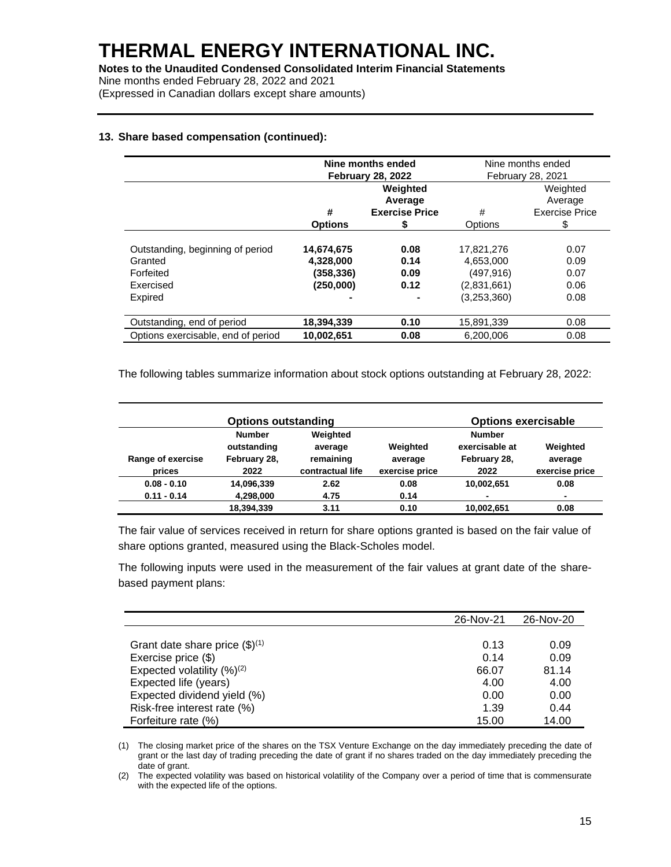(Expressed in Canadian dollars except share amounts)

## **13. Share based compensation (continued):**

|                                                                                  | Nine months ended<br><b>February 28, 2022</b>     |                              | Nine months ended<br><b>February 28, 2021</b>                       |                                      |
|----------------------------------------------------------------------------------|---------------------------------------------------|------------------------------|---------------------------------------------------------------------|--------------------------------------|
|                                                                                  | Weighted<br>Average                               |                              |                                                                     | Weighted<br>Average                  |
|                                                                                  | #                                                 | <b>Exercise Price</b>        | #                                                                   | <b>Exercise Price</b>                |
|                                                                                  | <b>Options</b>                                    | S                            | Options                                                             | \$                                   |
| Outstanding, beginning of period<br>Granted<br>Forfeited<br>Exercised<br>Expired | 14,674,675<br>4,328,000<br>(358,336)<br>(250,000) | 0.08<br>0.14<br>0.09<br>0.12 | 17,821,276<br>4,653,000<br>(497, 916)<br>(2,831,661)<br>(3,253,360) | 0.07<br>0.09<br>0.07<br>0.06<br>0.08 |
| Outstanding, end of period                                                       | 18,394,339                                        | 0.10                         | 15,891,339                                                          | 0.08                                 |
| Options exercisable, end of period                                               | 10.002.651                                        | 0.08                         | 6.200.006                                                           | 0.08                                 |

The following tables summarize information about stock options outstanding at February 28, 2022:

|                             | <b>Options outstanding</b>                           |                                                      |                                       | <b>Options exercisable</b>                              |                                       |
|-----------------------------|------------------------------------------------------|------------------------------------------------------|---------------------------------------|---------------------------------------------------------|---------------------------------------|
| Range of exercise<br>prices | <b>Number</b><br>outstanding<br>February 28,<br>2022 | Weighted<br>average<br>remaining<br>contractual life | Weighted<br>average<br>exercise price | <b>Number</b><br>exercisable at<br>February 28,<br>2022 | Weighted<br>average<br>exercise price |
| $0.08 - 0.10$               | 14,096,339                                           | 2.62                                                 | 0.08                                  | 10,002,651                                              | 0.08                                  |
| $0.11 - 0.14$               | 4,298,000<br>18,394,339                              | 4.75<br>3.11                                         | 0.14<br>0.10                          | 10,002,651                                              | ۰<br>0.08                             |

The fair value of services received in return for share options granted is based on the fair value of share options granted, measured using the Black-Scholes model.

The following inputs were used in the measurement of the fair values at grant date of the sharebased payment plans:

|                                     | 26-Nov-21 | 26-Nov-20 |
|-------------------------------------|-----------|-----------|
|                                     |           |           |
| Grant date share price $(\$)^{(1)}$ | 0.13      | 0.09      |
| Exercise price (\$)                 | 0.14      | 0.09      |
| Expected volatility $(%)^{(2)}$     | 66.07     | 81.14     |
| Expected life (years)               | 4.00      | 4.00      |
| Expected dividend yield (%)         | 0.00      | 0.00      |
| Risk-free interest rate (%)         | 1.39      | 0.44      |
| Forfeiture rate (%)                 | 15.00     | 14.00     |

(1) The closing market price of the shares on the TSX Venture Exchange on the day immediately preceding the date of grant or the last day of trading preceding the date of grant if no shares traded on the day immediately preceding the date of grant.

(2) The expected volatility was based on historical volatility of the Company over a period of time that is commensurate with the expected life of the options.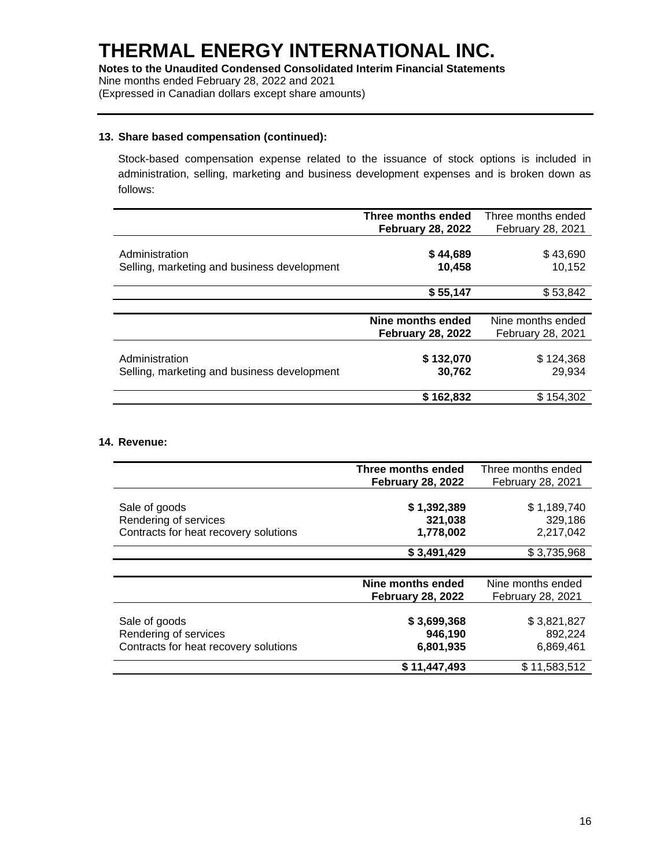#### **13. Share based compensation (continued):**

Stock-based compensation expense related to the issuance of stock options is included in administration, selling, marketing and business development expenses and is broken down as follows:

|                                             | Three months ended       | Three months ended       |
|---------------------------------------------|--------------------------|--------------------------|
|                                             | <b>February 28, 2022</b> | <b>February 28, 2021</b> |
|                                             |                          |                          |
| Administration                              | \$44,689                 | \$43,690                 |
| Selling, marketing and business development | 10,458                   | 10,152                   |
|                                             |                          |                          |
|                                             | \$55,147                 | \$53,842                 |
|                                             |                          |                          |
|                                             | Nine months ended        | Nine months ended        |
|                                             | <b>February 28, 2022</b> | <b>February 28, 2021</b> |
|                                             |                          |                          |
| Administration                              | \$132,070                | \$124,368                |
| Selling, marketing and business development | 30,762                   | 29,934                   |
|                                             |                          |                          |
|                                             | \$162,832                | \$154,302                |

#### **14. Revenue:**

|                                       | Three months ended       | Three months ended |
|---------------------------------------|--------------------------|--------------------|
|                                       | <b>February 28, 2022</b> | February 28, 2021  |
| Sale of goods                         | \$1,392,389              | \$1,189,740        |
| Rendering of services                 | 321,038                  | 329,186            |
| Contracts for heat recovery solutions | 1,778,002                | 2,217,042          |
|                                       | \$3,491,429              | \$3,735,968        |
|                                       |                          |                    |
|                                       | Nine months ended        | Nine months ended  |
|                                       | <b>February 28, 2022</b> | February 28, 2021  |
|                                       |                          |                    |
| Sale of goods                         | \$3,699,368              | \$3,821,827        |
| Rendering of services                 | 946,190                  | 892,224            |
| Contracts for heat recovery solutions | 6,801,935                | 6,869,461          |
|                                       | \$11,447,493             | \$11,583,512       |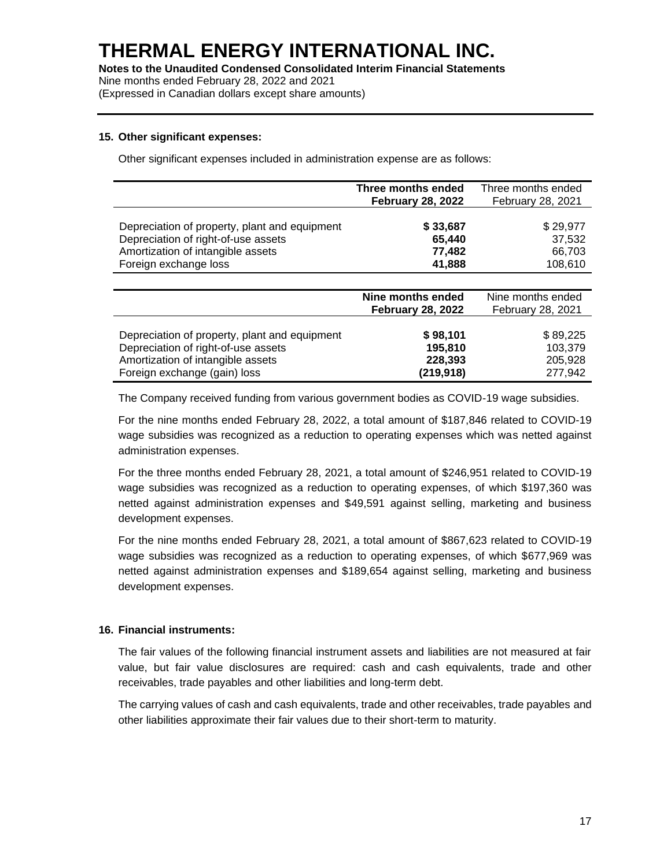(Expressed in Canadian dollars except share amounts)

#### **15. Other significant expenses:**

Other significant expenses included in administration expense are as follows:

|                                                                                      | Three months ended<br><b>February 28, 2022</b> | Three months ended<br>February 28, 2021 |
|--------------------------------------------------------------------------------------|------------------------------------------------|-----------------------------------------|
|                                                                                      |                                                |                                         |
| Depreciation of property, plant and equipment<br>Depreciation of right-of-use assets | \$33,687<br>65,440                             | \$29,977<br>37,532                      |
| Amortization of intangible assets                                                    | 77,482                                         | 66.703                                  |
| Foreign exchange loss                                                                | 41,888                                         | 108,610                                 |
|                                                                                      |                                                |                                         |
|                                                                                      | Nine months ended                              | Nine months ended                       |
|                                                                                      | <b>February 28, 2022</b>                       | <b>February 28, 2021</b>                |
| Depreciation of property, plant and equipment                                        | \$98,101                                       | \$89,225                                |
| Depreciation of right-of-use assets                                                  | 195,810                                        | 103.379                                 |
| Amortization of intangible assets                                                    | 228,393                                        | 205,928                                 |
| Foreign exchange (gain) loss                                                         | (219, 918)                                     | 277,942                                 |

The Company received funding from various government bodies as COVID-19 wage subsidies.

For the nine months ended February 28, 2022, a total amount of \$187,846 related to COVID-19 wage subsidies was recognized as a reduction to operating expenses which was netted against administration expenses.

For the three months ended February 28, 2021, a total amount of \$246,951 related to COVID-19 wage subsidies was recognized as a reduction to operating expenses, of which \$197,360 was netted against administration expenses and \$49,591 against selling, marketing and business development expenses.

For the nine months ended February 28, 2021, a total amount of \$867,623 related to COVID-19 wage subsidies was recognized as a reduction to operating expenses, of which \$677,969 was netted against administration expenses and \$189,654 against selling, marketing and business development expenses.

## **16. Financial instruments:**

The fair values of the following financial instrument assets and liabilities are not measured at fair value, but fair value disclosures are required: cash and cash equivalents, trade and other receivables, trade payables and other liabilities and long-term debt.

The carrying values of cash and cash equivalents, trade and other receivables, trade payables and other liabilities approximate their fair values due to their short-term to maturity.